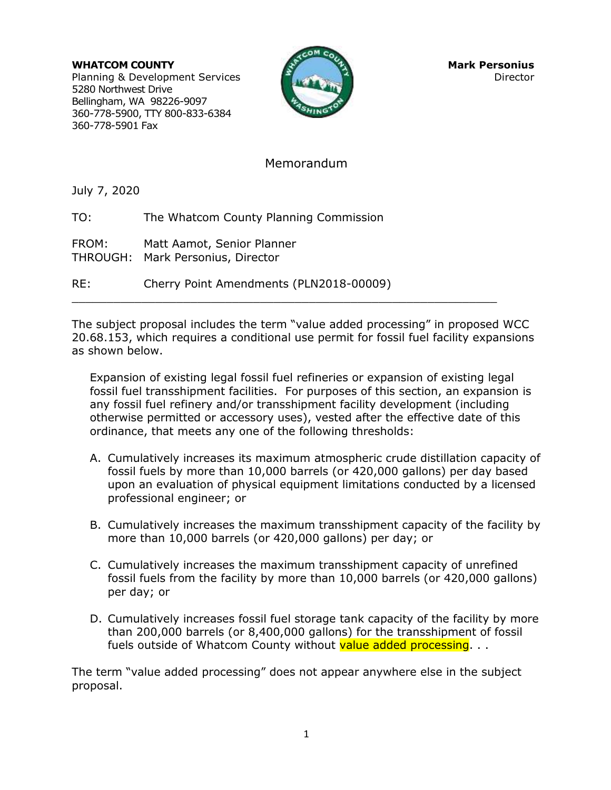**WHATCOM COUNTY COUNTY AND RESERVE AND MARK PERSONIUS** Planning & Development Services Director Director 5280 Northwest Drive Bellingham, WA 98226-9097 360-778-5900, TTY 800-833-6384 360-778-5901 Fax



## Memorandum

July 7, 2020

TO: The Whatcom County Planning Commission

FROM: Matt Aamot, Senior Planner THROUGH: Mark Personius, Director

RE: Cherry Point Amendments (PLN2018-00009)

The subject proposal includes the term "value added processing" in proposed WCC 20.68.153, which requires a conditional use permit for fossil fuel facility expansions as shown below.

 $\mathcal{L}_\mathcal{L}$  , and the contribution of the contribution of the contribution of the contribution of the contribution of the contribution of the contribution of the contribution of the contribution of the contribution of

Expansion of existing legal fossil fuel refineries or expansion of existing legal fossil fuel transshipment facilities. For purposes of this section, an expansion is any fossil fuel refinery and/or transshipment facility development (including otherwise permitted or accessory uses), vested after the effective date of this ordinance, that meets any one of the following thresholds:

- A. Cumulatively increases its maximum atmospheric crude distillation capacity of fossil fuels by more than 10,000 barrels (or 420,000 gallons) per day based upon an evaluation of physical equipment limitations conducted by a licensed professional engineer; or
- B. Cumulatively increases the maximum transshipment capacity of the facility by more than 10,000 barrels (or 420,000 gallons) per day; or
- C. Cumulatively increases the maximum transshipment capacity of unrefined fossil fuels from the facility by more than 10,000 barrels (or 420,000 gallons) per day; or
- D. Cumulatively increases fossil fuel storage tank capacity of the facility by more than 200,000 barrels (or 8,400,000 gallons) for the transshipment of fossil fuels outside of Whatcom County without value added processing. ..

The term "value added processing" does not appear anywhere else in the subject proposal.